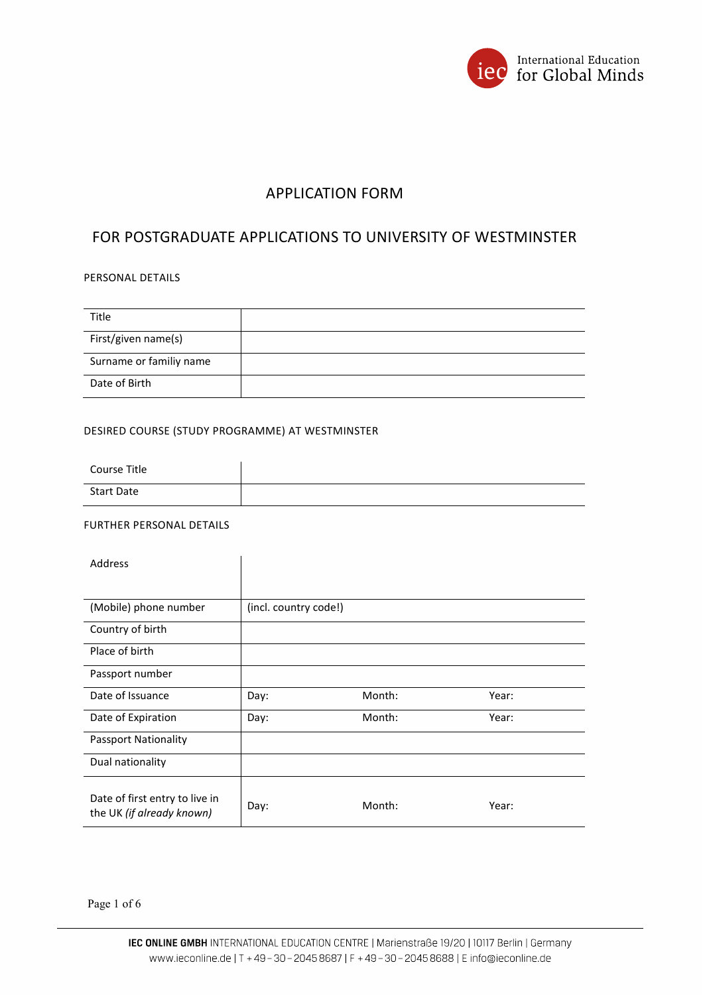

# APPLICATION FORM

# FOR POSTGRADUATE APPLICATIONS TO UNIVERSITY OF WESTMINSTER

## PERSONAL DETAILS

| <b>Title</b>            |  |
|-------------------------|--|
| First/given name(s)     |  |
| Surname or familiy name |  |
| Date of Birth           |  |

## DESIRED COURSE (STUDY PROGRAMME) AT WESTMINSTER

| Course Title      |  |
|-------------------|--|
| <b>Start Date</b> |  |

## FURTHER PERSONAL DETAILS

| <b>Address</b>                                              |                       |        |       |
|-------------------------------------------------------------|-----------------------|--------|-------|
|                                                             |                       |        |       |
| (Mobile) phone number                                       | (incl. country code!) |        |       |
| Country of birth                                            |                       |        |       |
| Place of birth                                              |                       |        |       |
| Passport number                                             |                       |        |       |
| Date of Issuance                                            | Day:                  | Month: | Year: |
| Date of Expiration                                          | Day:                  | Month: | Year: |
| Passport Nationality                                        |                       |        |       |
| Dual nationality                                            |                       |        |       |
| Date of first entry to live in<br>the UK (if already known) | Day:                  | Month: | Year: |

Page 1 of 6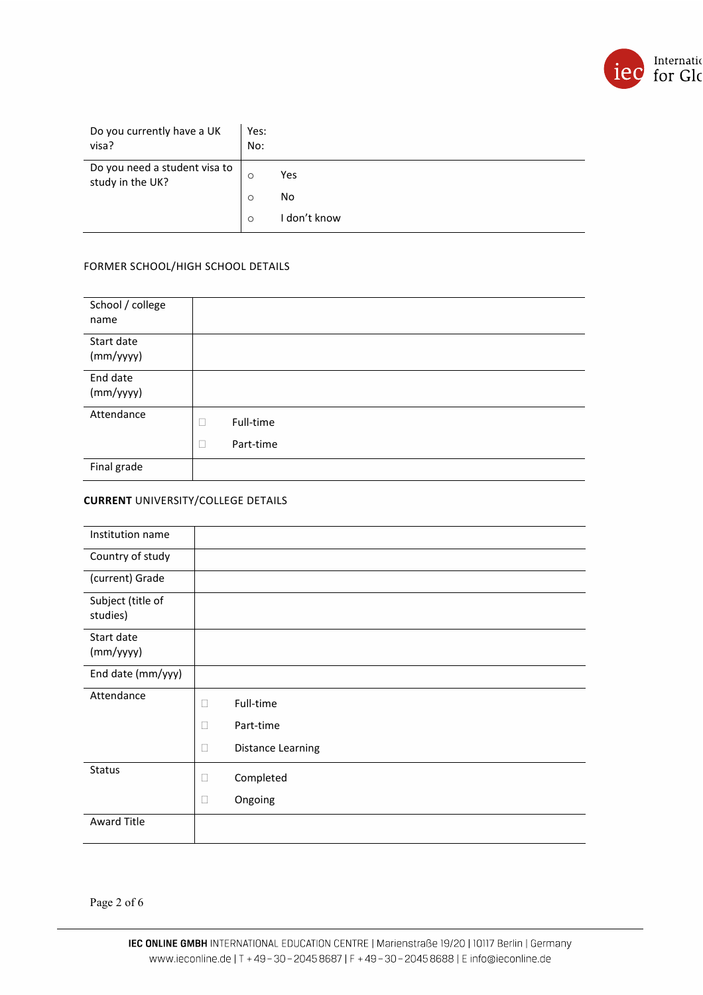

| Do you currently have a UK<br>visa?               | Yes:<br>No: |              |
|---------------------------------------------------|-------------|--------------|
| Do you need a student visa to<br>study in the UK? | $\circ$     | Yes          |
|                                                   | $\circ$     | No           |
|                                                   | $\circ$     | I don't know |

## FORMER SCHOOL/HIGH SCHOOL DETAILS

| School / college<br>name |                             |
|--------------------------|-----------------------------|
| Start date<br>(mm/yyyy)  |                             |
| End date<br>(mm/yyyy)    |                             |
| Attendance               | Full-time<br>Part-time<br>□ |
| Final grade              |                             |

### **CURRENT** UNIVERSITY/COLLEGE DETAILS

| Institution name              |                             |
|-------------------------------|-----------------------------|
| Country of study              |                             |
| (current) Grade               |                             |
| Subject (title of<br>studies) |                             |
| Start date<br>(mm/yyyy)       |                             |
| End date (mm/yyy)             |                             |
| Attendance                    | Full-time<br>$\Box$         |
|                               | Part-time<br>$\Box$         |
|                               | Distance Learning<br>$\Box$ |
| <b>Status</b>                 | Completed<br>$\Box$         |
|                               | Ongoing<br>$\Box$           |
| <b>Award Title</b>            |                             |
|                               |                             |

Page 2 of 6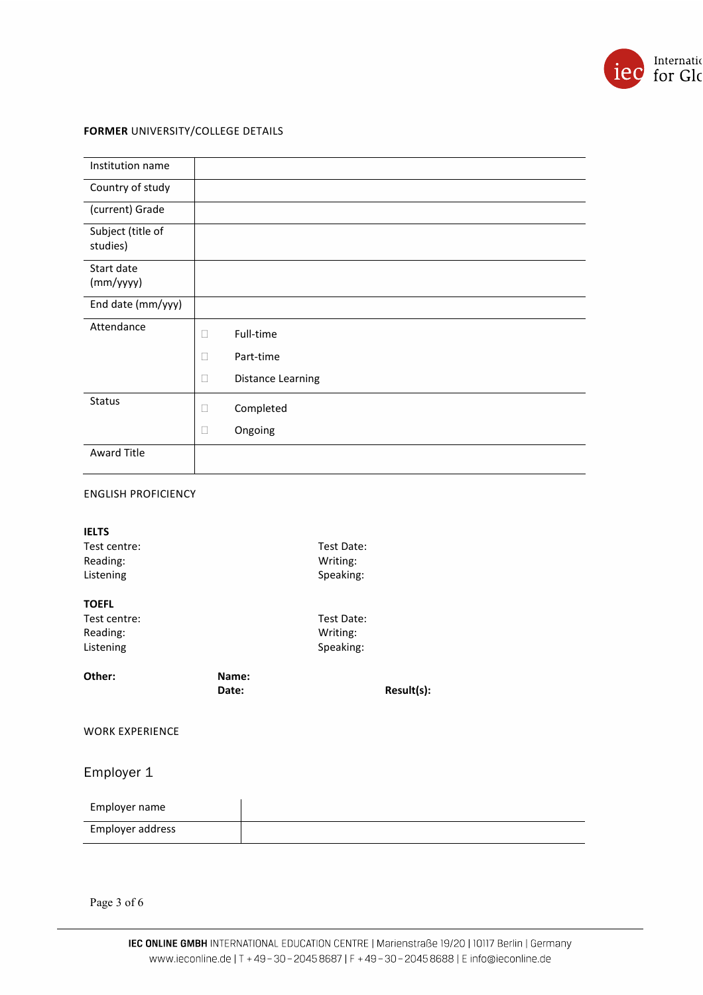

## **FORMER** UNIVERSITY/COLLEGE DETAILS

| Institution name              |                                    |
|-------------------------------|------------------------------------|
| Country of study              |                                    |
| (current) Grade               |                                    |
| Subject (title of<br>studies) |                                    |
| Start date<br>(mm/yyyy)       |                                    |
| End date (mm/yyy)             |                                    |
| Attendance                    | Full-time<br>□                     |
|                               | Part-time<br>$\mathbf{L}$          |
|                               | <b>Distance Learning</b><br>$\Box$ |
| Status                        | Completed<br>□                     |
|                               | Ongoing<br>$\Box$                  |
| <b>Award Title</b>            |                                    |

### ENGLISH PROFICIENCY

| <b>IELTS</b><br>Test centre:<br>Reading:<br>Listening |                | Test Date:<br>Writing:<br>Speaking: |            |
|-------------------------------------------------------|----------------|-------------------------------------|------------|
| <b>TOEFL</b>                                          |                |                                     |            |
| Test centre:                                          |                | Test Date:                          |            |
| Reading:                                              |                | Writing:                            |            |
| Listening                                             |                | Speaking:                           |            |
| Other:                                                | Name:<br>Date: |                                     | Result(s): |
| <b>WORK EXPERIENCE</b>                                |                |                                     |            |
| Employer 1                                            |                |                                     |            |
| Employer name                                         |                |                                     |            |
| Employer address                                      |                |                                     |            |
|                                                       |                |                                     |            |

Page 3 of  $6\,$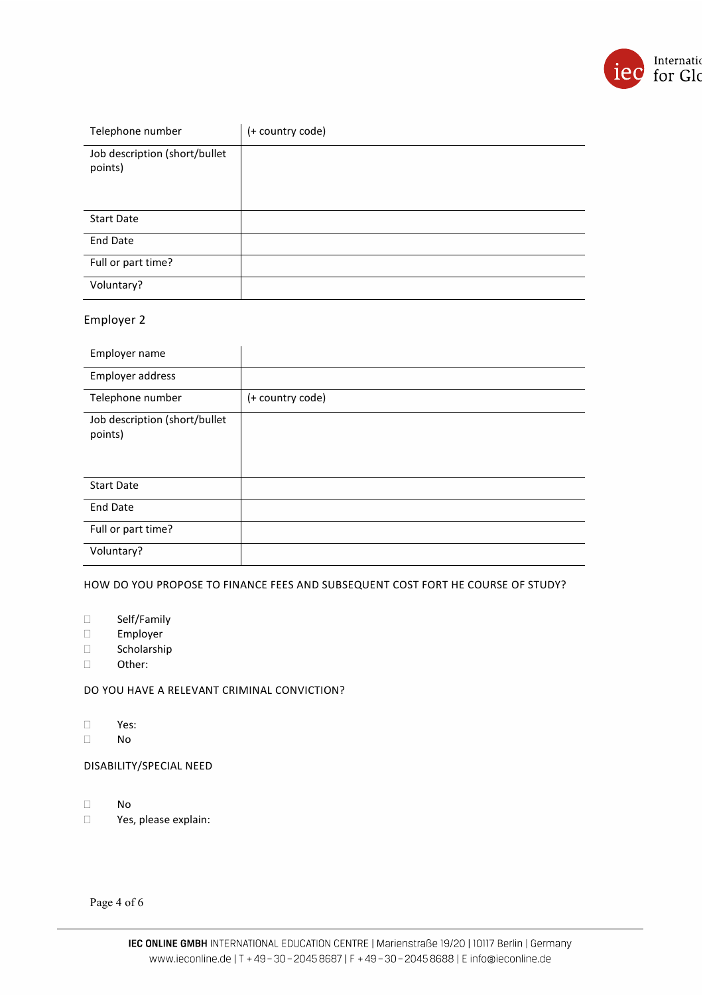

| Telephone number                         | (+ country code) |
|------------------------------------------|------------------|
| Job description (short/bullet<br>points) |                  |
| <b>Start Date</b>                        |                  |
| <b>End Date</b>                          |                  |
| Full or part time?                       |                  |
| Voluntary?                               |                  |

## Employer 2

| Employer name                            |                  |
|------------------------------------------|------------------|
| Employer address                         |                  |
| Telephone number                         | (+ country code) |
| Job description (short/bullet<br>points) |                  |
| <b>Start Date</b>                        |                  |
| <b>End Date</b>                          |                  |
| Full or part time?                       |                  |
| Voluntary?                               |                  |

HOW DO YOU PROPOSE TO FINANCE FEES AND SUBSEQUENT COST FORT HE COURSE OF STUDY?

- Self/Family
- Employer
- □ Scholarship
- Other:

DO YOU HAVE A RELEVANT CRIMINAL CONVICTION?

- Yes:
- No

DISABILITY/SPECIAL NEED

- No
- Yes, please explain:

Page 4 of 6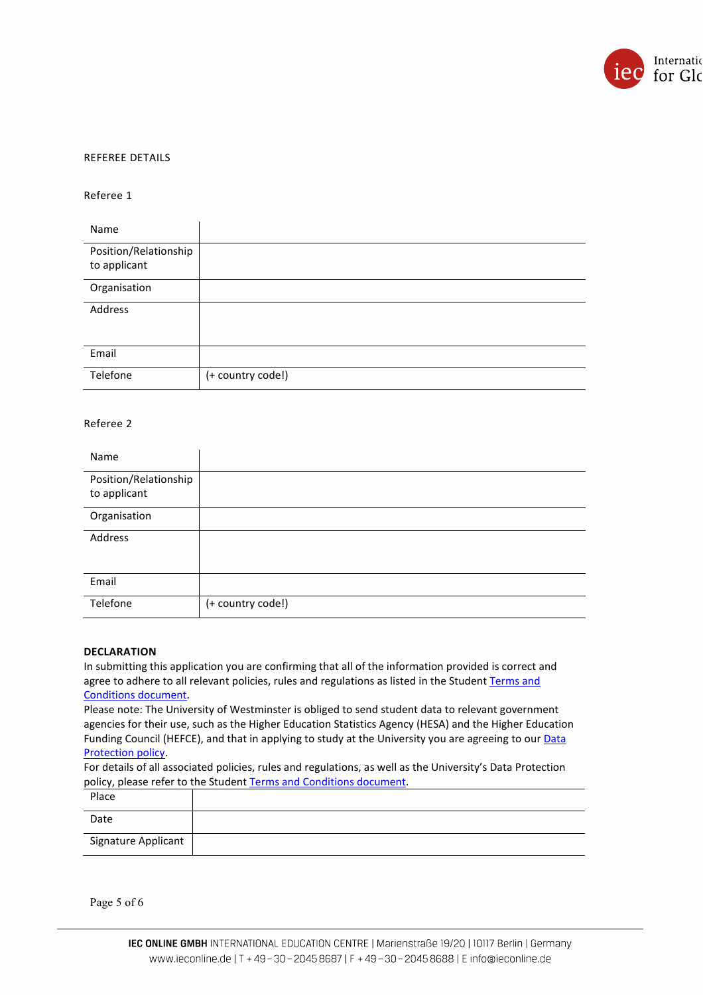

#### REFEREE DETAILS

#### Referee 1

| Name                                  |                   |
|---------------------------------------|-------------------|
| Position/Relationship<br>to applicant |                   |
| Organisation                          |                   |
| Address                               |                   |
| Email                                 |                   |
| Telefone                              | (+ country code!) |

#### Referee 2

| Name                                  |                   |
|---------------------------------------|-------------------|
| Position/Relationship<br>to applicant |                   |
| Organisation                          |                   |
| Address                               |                   |
| Email                                 |                   |
| Telefone                              | (+ country code!) |

#### **DECLARATION**

In submitting this application you are confirming that all of the information provided is correct and agree to adhere to all relevant policies, rules and regulations as listed in the Student Terms and [Conditions document.](https://www.westminster.ac.uk/about-us/our-university/corporate-information/policies-and-documents-a-z/terms-and-conditions-for-students)

Please note: The University of Westminster is obliged to send student data to relevant government agencies for their use, such as the Higher Education Statistics Agency (HESA) and the Higher Education Funding Council (HEFCE), and that in applying to study at the University you are agreeing to our Data [Protection policy.](https://www.westminster.ac.uk/about-us/our-university/corporate-information/information-compliance-and-records-management/data-protection)

For details of all associated policies, rules and regulations, as well as the University's Data Protection policy, please refer to the Studen[t Terms and Conditions document.](https://www.westminster.ac.uk/about-us/our-university/corporate-information/policies-and-documents-a-z/terms-and-conditions-for-students)

| Place               |  |
|---------------------|--|
| Date                |  |
| Signature Applicant |  |

Page 5 of 6